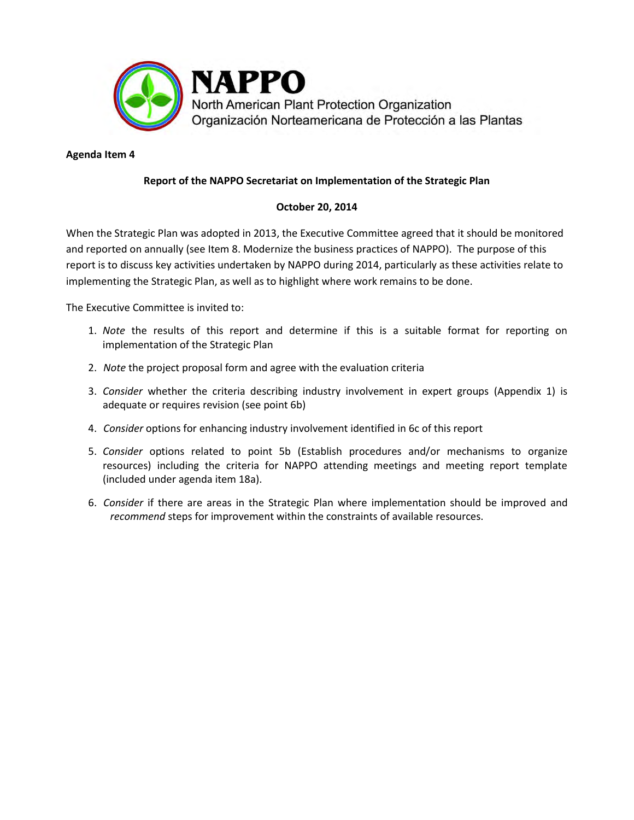

## **Agenda Item 4**

## **Report of the NAPPO Secretariat on Implementation of the Strategic Plan**

## **October 20, 2014**

When the Strategic Plan was adopted in 2013, the Executive Committee agreed that it should be monitored and reported on annually (see Item 8. Modernize the business practices of NAPPO). The purpose of this report is to discuss key activities undertaken by NAPPO during 2014, particularly as these activities relate to implementing the Strategic Plan, as well as to highlight where work remains to be done.

The Executive Committee is invited to:

- 1. *Note* the results of this report and determine if this is a suitable format for reporting on implementation of the Strategic Plan
- 2. *Note* the project proposal form and agree with the evaluation criteria
- 3. *Consider* whether the criteria describing industry involvement in expert groups (Appendix 1) is adequate or requires revision (see point 6b)
- 4. *Consider* options for enhancing industry involvement identified in 6c of this report
- 5. *Consider* options related to point 5b (Establish procedures and/or mechanisms to organize resources) including the criteria for NAPPO attending meetings and meeting report template (included under agenda item 18a).
- 6. *Consider* if there are areas in the Strategic Plan where implementation should be improved and *recommend* steps for improvement within the constraints of available resources.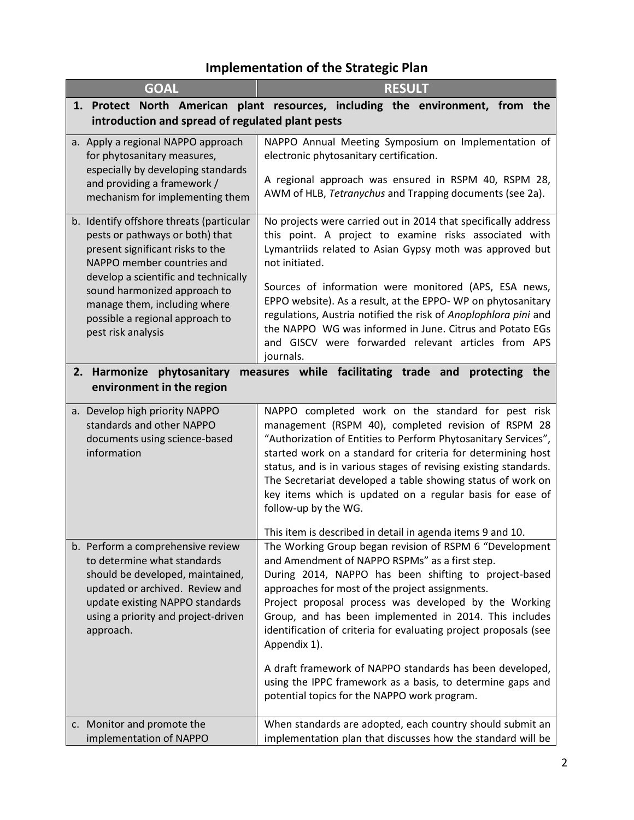## **Implementation of the Strategic Plan**

| <b>GOAL</b>                                                                                                                                                                                                                                                                                                    | <b>RESULT</b>                                                                                                                                                                                                                                                                                                                                                                                                                                                                                                                                                                                                                                                        |  |
|----------------------------------------------------------------------------------------------------------------------------------------------------------------------------------------------------------------------------------------------------------------------------------------------------------------|----------------------------------------------------------------------------------------------------------------------------------------------------------------------------------------------------------------------------------------------------------------------------------------------------------------------------------------------------------------------------------------------------------------------------------------------------------------------------------------------------------------------------------------------------------------------------------------------------------------------------------------------------------------------|--|
|                                                                                                                                                                                                                                                                                                                | 1. Protect North American plant resources, including the environment, from the                                                                                                                                                                                                                                                                                                                                                                                                                                                                                                                                                                                       |  |
| introduction and spread of regulated plant pests                                                                                                                                                                                                                                                               |                                                                                                                                                                                                                                                                                                                                                                                                                                                                                                                                                                                                                                                                      |  |
| a. Apply a regional NAPPO approach<br>for phytosanitary measures,<br>especially by developing standards<br>and providing a framework /<br>mechanism for implementing them                                                                                                                                      | NAPPO Annual Meeting Symposium on Implementation of<br>electronic phytosanitary certification.<br>A regional approach was ensured in RSPM 40, RSPM 28,<br>AWM of HLB, Tetranychus and Trapping documents (see 2a).                                                                                                                                                                                                                                                                                                                                                                                                                                                   |  |
| b. Identify offshore threats (particular<br>pests or pathways or both) that<br>present significant risks to the<br>NAPPO member countries and<br>develop a scientific and technically<br>sound harmonized approach to<br>manage them, including where<br>possible a regional approach to<br>pest risk analysis | No projects were carried out in 2014 that specifically address<br>this point. A project to examine risks associated with<br>Lymantriids related to Asian Gypsy moth was approved but<br>not initiated.<br>Sources of information were monitored (APS, ESA news,<br>EPPO website). As a result, at the EPPO- WP on phytosanitary<br>regulations, Austria notified the risk of Anoplophlora pini and<br>the NAPPO WG was informed in June. Citrus and Potato EGs<br>and GISCV were forwarded relevant articles from APS<br>journals.                                                                                                                                   |  |
| 2. Harmonize phytosanitary<br>measures while facilitating trade and protecting the<br>environment in the region                                                                                                                                                                                                |                                                                                                                                                                                                                                                                                                                                                                                                                                                                                                                                                                                                                                                                      |  |
| a. Develop high priority NAPPO<br>standards and other NAPPO<br>documents using science-based<br>information                                                                                                                                                                                                    | NAPPO completed work on the standard for pest risk<br>management (RSPM 40), completed revision of RSPM 28<br>"Authorization of Entities to Perform Phytosanitary Services",<br>started work on a standard for criteria for determining host<br>status, and is in various stages of revising existing standards.<br>The Secretariat developed a table showing status of work on<br>key items which is updated on a regular basis for ease of<br>follow-up by the WG.                                                                                                                                                                                                  |  |
| b. Perform a comprehensive review<br>to determine what standards<br>should be developed, maintained,<br>updated or archived. Review and<br>update existing NAPPO standards<br>using a priority and project-driven<br>approach.                                                                                 | This item is described in detail in agenda items 9 and 10.<br>The Working Group began revision of RSPM 6 "Development<br>and Amendment of NAPPO RSPMs" as a first step.<br>During 2014, NAPPO has been shifting to project-based<br>approaches for most of the project assignments.<br>Project proposal process was developed by the Working<br>Group, and has been implemented in 2014. This includes<br>identification of criteria for evaluating project proposals (see<br>Appendix 1).<br>A draft framework of NAPPO standards has been developed,<br>using the IPPC framework as a basis, to determine gaps and<br>potential topics for the NAPPO work program. |  |
| c. Monitor and promote the<br>implementation of NAPPO                                                                                                                                                                                                                                                          | When standards are adopted, each country should submit an<br>implementation plan that discusses how the standard will be                                                                                                                                                                                                                                                                                                                                                                                                                                                                                                                                             |  |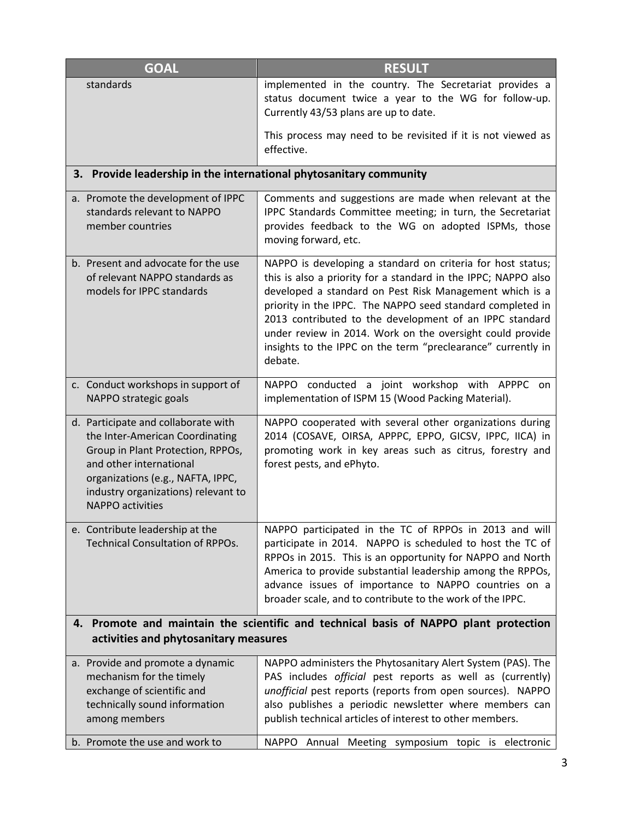| <b>GOAL</b>                                                                                                                                                                                                                                   | <b>RESULT</b>                                                                                                                                                                                                                                                                                                                                                                                                                                             |  |
|-----------------------------------------------------------------------------------------------------------------------------------------------------------------------------------------------------------------------------------------------|-----------------------------------------------------------------------------------------------------------------------------------------------------------------------------------------------------------------------------------------------------------------------------------------------------------------------------------------------------------------------------------------------------------------------------------------------------------|--|
| standards                                                                                                                                                                                                                                     | implemented in the country. The Secretariat provides a<br>status document twice a year to the WG for follow-up.<br>Currently 43/53 plans are up to date.                                                                                                                                                                                                                                                                                                  |  |
|                                                                                                                                                                                                                                               | This process may need to be revisited if it is not viewed as<br>effective.                                                                                                                                                                                                                                                                                                                                                                                |  |
| 3. Provide leadership in the international phytosanitary community                                                                                                                                                                            |                                                                                                                                                                                                                                                                                                                                                                                                                                                           |  |
| a. Promote the development of IPPC<br>standards relevant to NAPPO<br>member countries                                                                                                                                                         | Comments and suggestions are made when relevant at the<br>IPPC Standards Committee meeting; in turn, the Secretariat<br>provides feedback to the WG on adopted ISPMs, those<br>moving forward, etc.                                                                                                                                                                                                                                                       |  |
| b. Present and advocate for the use<br>of relevant NAPPO standards as<br>models for IPPC standards                                                                                                                                            | NAPPO is developing a standard on criteria for host status;<br>this is also a priority for a standard in the IPPC; NAPPO also<br>developed a standard on Pest Risk Management which is a<br>priority in the IPPC. The NAPPO seed standard completed in<br>2013 contributed to the development of an IPPC standard<br>under review in 2014. Work on the oversight could provide<br>insights to the IPPC on the term "preclearance" currently in<br>debate. |  |
| c. Conduct workshops in support of<br>NAPPO strategic goals                                                                                                                                                                                   | NAPPO conducted a joint workshop with APPPC<br>on.<br>implementation of ISPM 15 (Wood Packing Material).                                                                                                                                                                                                                                                                                                                                                  |  |
| d. Participate and collaborate with<br>the Inter-American Coordinating<br>Group in Plant Protection, RPPOs,<br>and other international<br>organizations (e.g., NAFTA, IPPC,<br>industry organizations) relevant to<br><b>NAPPO</b> activities | NAPPO cooperated with several other organizations during<br>2014 (COSAVE, OIRSA, APPPC, EPPO, GICSV, IPPC, IICA) in<br>promoting work in key areas such as citrus, forestry and<br>forest pests, and ePhyto.                                                                                                                                                                                                                                              |  |
| e. Contribute leadership at the<br><b>Technical Consultation of RPPOs.</b>                                                                                                                                                                    | NAPPO participated in the TC of RPPOs in 2013 and will<br>participate in 2014. NAPPO is scheduled to host the TC of<br>RPPOs in 2015. This is an opportunity for NAPPO and North<br>America to provide substantial leadership among the RPPOs,<br>advance issues of importance to NAPPO countries on a<br>broader scale, and to contribute to the work of the IPPC.                                                                                       |  |
| Promote and maintain the scientific and technical basis of NAPPO plant protection<br>4.<br>activities and phytosanitary measures                                                                                                              |                                                                                                                                                                                                                                                                                                                                                                                                                                                           |  |
| a. Provide and promote a dynamic                                                                                                                                                                                                              | NAPPO administers the Phytosanitary Alert System (PAS). The                                                                                                                                                                                                                                                                                                                                                                                               |  |
| mechanism for the timely                                                                                                                                                                                                                      | PAS includes official pest reports as well as (currently)                                                                                                                                                                                                                                                                                                                                                                                                 |  |
| exchange of scientific and                                                                                                                                                                                                                    | unofficial pest reports (reports from open sources). NAPPO                                                                                                                                                                                                                                                                                                                                                                                                |  |
| technically sound information<br>among members                                                                                                                                                                                                | also publishes a periodic newsletter where members can<br>publish technical articles of interest to other members.                                                                                                                                                                                                                                                                                                                                        |  |
| b. Promote the use and work to                                                                                                                                                                                                                | NAPPO Annual Meeting symposium topic is electronic                                                                                                                                                                                                                                                                                                                                                                                                        |  |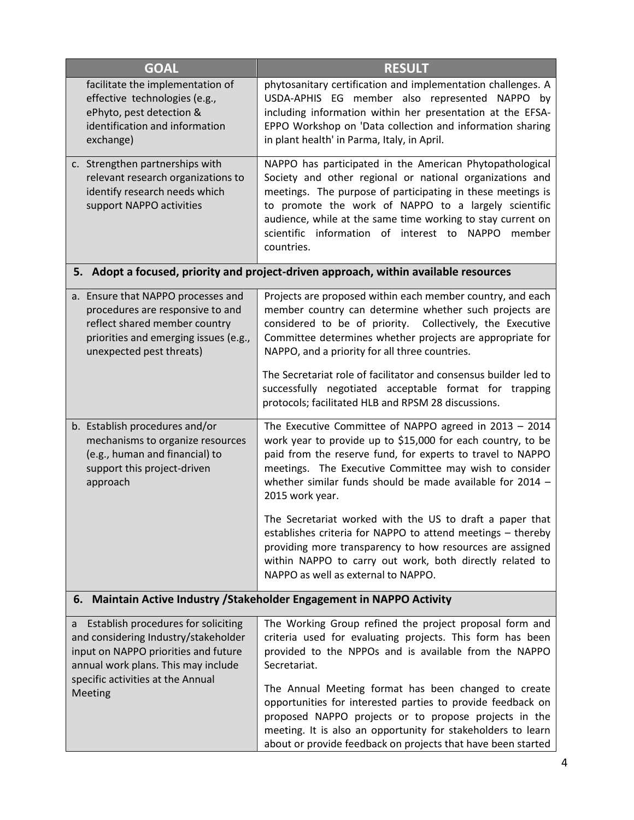| <b>GOAL</b>                                                                                                                                                                                                  | <b>RESULT</b>                                                                                                                                                                                                                                                                                                                                                                                                                                                                                                 |  |
|--------------------------------------------------------------------------------------------------------------------------------------------------------------------------------------------------------------|---------------------------------------------------------------------------------------------------------------------------------------------------------------------------------------------------------------------------------------------------------------------------------------------------------------------------------------------------------------------------------------------------------------------------------------------------------------------------------------------------------------|--|
| facilitate the implementation of<br>effective technologies (e.g.,<br>ePhyto, pest detection &<br>identification and information<br>exchange)                                                                 | phytosanitary certification and implementation challenges. A<br>USDA-APHIS EG member also represented NAPPO by<br>including information within her presentation at the EFSA-<br>EPPO Workshop on 'Data collection and information sharing<br>in plant health' in Parma, Italy, in April.                                                                                                                                                                                                                      |  |
| c. Strengthen partnerships with<br>relevant research organizations to<br>identify research needs which<br>support NAPPO activities                                                                           | NAPPO has participated in the American Phytopathological<br>Society and other regional or national organizations and<br>meetings. The purpose of participating in these meetings is<br>to promote the work of NAPPO to a largely scientific<br>audience, while at the same time working to stay current on<br>scientific information of interest to<br><b>NAPPO</b><br>member<br>countries.                                                                                                                   |  |
| 5. Adopt a focused, priority and project-driven approach, within available resources                                                                                                                         |                                                                                                                                                                                                                                                                                                                                                                                                                                                                                                               |  |
| a. Ensure that NAPPO processes and<br>procedures are responsive to and<br>reflect shared member country<br>priorities and emerging issues (e.g.,<br>unexpected pest threats)                                 | Projects are proposed within each member country, and each<br>member country can determine whether such projects are<br>considered to be of priority. Collectively, the Executive<br>Committee determines whether projects are appropriate for<br>NAPPO, and a priority for all three countries.                                                                                                                                                                                                              |  |
|                                                                                                                                                                                                              | The Secretariat role of facilitator and consensus builder led to<br>successfully negotiated acceptable format for trapping<br>protocols; facilitated HLB and RPSM 28 discussions.                                                                                                                                                                                                                                                                                                                             |  |
| b. Establish procedures and/or<br>mechanisms to organize resources<br>(e.g., human and financial) to<br>support this project-driven<br>approach                                                              | The Executive Committee of NAPPO agreed in 2013 - 2014<br>work year to provide up to \$15,000 for each country, to be<br>paid from the reserve fund, for experts to travel to NAPPO<br>meetings. The Executive Committee may wish to consider<br>whether similar funds should be made available for 2014 -<br>2015 work year.                                                                                                                                                                                 |  |
|                                                                                                                                                                                                              | The Secretariat worked with the US to draft a paper that<br>establishes criteria for NAPPO to attend meetings - thereby<br>providing more transparency to how resources are assigned<br>within NAPPO to carry out work, both directly related to<br>NAPPO as well as external to NAPPO.                                                                                                                                                                                                                       |  |
| 6. Maintain Active Industry / Stakeholder Engagement in NAPPO Activity                                                                                                                                       |                                                                                                                                                                                                                                                                                                                                                                                                                                                                                                               |  |
| a Establish procedures for soliciting<br>and considering Industry/stakeholder<br>input on NAPPO priorities and future<br>annual work plans. This may include<br>specific activities at the Annual<br>Meeting | The Working Group refined the project proposal form and<br>criteria used for evaluating projects. This form has been<br>provided to the NPPOs and is available from the NAPPO<br>Secretariat.<br>The Annual Meeting format has been changed to create<br>opportunities for interested parties to provide feedback on<br>proposed NAPPO projects or to propose projects in the<br>meeting. It is also an opportunity for stakeholders to learn<br>about or provide feedback on projects that have been started |  |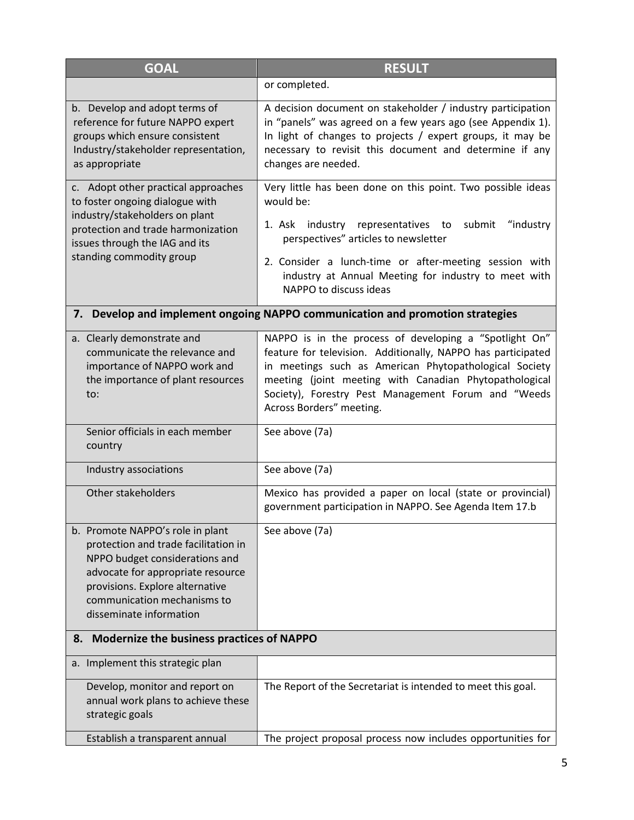| <b>GOAL</b>                                                                                                                                                                                                                                  | <b>RESULT</b>                                                                                                                                                                                                                                                                                                                 |  |
|----------------------------------------------------------------------------------------------------------------------------------------------------------------------------------------------------------------------------------------------|-------------------------------------------------------------------------------------------------------------------------------------------------------------------------------------------------------------------------------------------------------------------------------------------------------------------------------|--|
|                                                                                                                                                                                                                                              | or completed.                                                                                                                                                                                                                                                                                                                 |  |
| b. Develop and adopt terms of<br>reference for future NAPPO expert<br>groups which ensure consistent<br>Industry/stakeholder representation,<br>as appropriate                                                                               | A decision document on stakeholder / industry participation<br>in "panels" was agreed on a few years ago (see Appendix 1).<br>In light of changes to projects / expert groups, it may be<br>necessary to revisit this document and determine if any<br>changes are needed.                                                    |  |
| c. Adopt other practical approaches<br>to foster ongoing dialogue with<br>industry/stakeholders on plant<br>protection and trade harmonization<br>issues through the IAG and its                                                             | Very little has been done on this point. Two possible ideas<br>would be:<br>"industry<br>1. Ask industry representatives to<br>submit<br>perspectives" articles to newsletter                                                                                                                                                 |  |
| standing commodity group                                                                                                                                                                                                                     | 2. Consider a lunch-time or after-meeting session with<br>industry at Annual Meeting for industry to meet with<br>NAPPO to discuss ideas                                                                                                                                                                                      |  |
|                                                                                                                                                                                                                                              | 7. Develop and implement ongoing NAPPO communication and promotion strategies                                                                                                                                                                                                                                                 |  |
| a. Clearly demonstrate and<br>communicate the relevance and<br>importance of NAPPO work and<br>the importance of plant resources<br>to:                                                                                                      | NAPPO is in the process of developing a "Spotlight On"<br>feature for television. Additionally, NAPPO has participated<br>in meetings such as American Phytopathological Society<br>meeting (joint meeting with Canadian Phytopathological<br>Society), Forestry Pest Management Forum and "Weeds<br>Across Borders" meeting. |  |
| Senior officials in each member<br>country                                                                                                                                                                                                   | See above (7a)                                                                                                                                                                                                                                                                                                                |  |
| Industry associations                                                                                                                                                                                                                        | See above (7a)                                                                                                                                                                                                                                                                                                                |  |
| Other stakeholders                                                                                                                                                                                                                           | Mexico has provided a paper on local (state or provincial)<br>government participation in NAPPO. See Agenda Item 17.b                                                                                                                                                                                                         |  |
| b. Promote NAPPO's role in plant<br>protection and trade facilitation in<br>NPPO budget considerations and<br>advocate for appropriate resource<br>provisions. Explore alternative<br>communication mechanisms to<br>disseminate information | See above (7a)                                                                                                                                                                                                                                                                                                                |  |
|                                                                                                                                                                                                                                              | 8. Modernize the business practices of NAPPO                                                                                                                                                                                                                                                                                  |  |
| a. Implement this strategic plan                                                                                                                                                                                                             |                                                                                                                                                                                                                                                                                                                               |  |
| Develop, monitor and report on<br>annual work plans to achieve these<br>strategic goals                                                                                                                                                      | The Report of the Secretariat is intended to meet this goal.                                                                                                                                                                                                                                                                  |  |
| Establish a transparent annual                                                                                                                                                                                                               | The project proposal process now includes opportunities for                                                                                                                                                                                                                                                                   |  |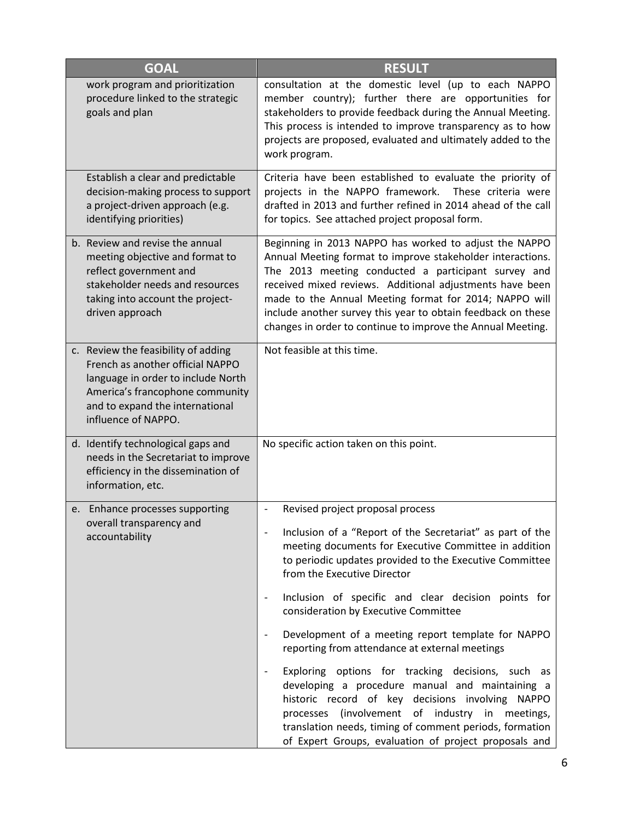| <b>GOAL</b>                                                                                                                                                                                                | <b>RESULT</b>                                                                                                                                                                                                                                                                                                                                                                                                                                                                                                                                                                                                                                                                                                                                                                                                                                                                                                                          |
|------------------------------------------------------------------------------------------------------------------------------------------------------------------------------------------------------------|----------------------------------------------------------------------------------------------------------------------------------------------------------------------------------------------------------------------------------------------------------------------------------------------------------------------------------------------------------------------------------------------------------------------------------------------------------------------------------------------------------------------------------------------------------------------------------------------------------------------------------------------------------------------------------------------------------------------------------------------------------------------------------------------------------------------------------------------------------------------------------------------------------------------------------------|
| work program and prioritization<br>procedure linked to the strategic<br>goals and plan                                                                                                                     | consultation at the domestic level (up to each NAPPO<br>member country); further there are opportunities for<br>stakeholders to provide feedback during the Annual Meeting.<br>This process is intended to improve transparency as to how<br>projects are proposed, evaluated and ultimately added to the<br>work program.                                                                                                                                                                                                                                                                                                                                                                                                                                                                                                                                                                                                             |
| Establish a clear and predictable<br>decision-making process to support<br>a project-driven approach (e.g.<br>identifying priorities)                                                                      | Criteria have been established to evaluate the priority of<br>projects in the NAPPO framework. These criteria were<br>drafted in 2013 and further refined in 2014 ahead of the call<br>for topics. See attached project proposal form.                                                                                                                                                                                                                                                                                                                                                                                                                                                                                                                                                                                                                                                                                                 |
| b. Review and revise the annual<br>meeting objective and format to<br>reflect government and<br>stakeholder needs and resources<br>taking into account the project-<br>driven approach                     | Beginning in 2013 NAPPO has worked to adjust the NAPPO<br>Annual Meeting format to improve stakeholder interactions.<br>The 2013 meeting conducted a participant survey and<br>received mixed reviews. Additional adjustments have been<br>made to the Annual Meeting format for 2014; NAPPO will<br>include another survey this year to obtain feedback on these<br>changes in order to continue to improve the Annual Meeting.                                                                                                                                                                                                                                                                                                                                                                                                                                                                                                       |
| c. Review the feasibility of adding<br>French as another official NAPPO<br>language in order to include North<br>America's francophone community<br>and to expand the international<br>influence of NAPPO. | Not feasible at this time.                                                                                                                                                                                                                                                                                                                                                                                                                                                                                                                                                                                                                                                                                                                                                                                                                                                                                                             |
| d. Identify technological gaps and<br>needs in the Secretariat to improve<br>efficiency in the dissemination of<br>information, etc.                                                                       | No specific action taken on this point.                                                                                                                                                                                                                                                                                                                                                                                                                                                                                                                                                                                                                                                                                                                                                                                                                                                                                                |
| e. Enhance processes supporting<br>overall transparency and<br>accountability                                                                                                                              | Revised project proposal process<br>$\overline{\phantom{a}}$<br>Inclusion of a "Report of the Secretariat" as part of the<br>$\overline{\phantom{a}}$<br>meeting documents for Executive Committee in addition<br>to periodic updates provided to the Executive Committee<br>from the Executive Director<br>Inclusion of specific and clear decision points for<br>$\overline{\phantom{a}}$<br>consideration by Executive Committee<br>Development of a meeting report template for NAPPO<br>$\overline{\phantom{a}}$<br>reporting from attendance at external meetings<br>Exploring options for tracking decisions, such as<br>$\overline{\phantom{a}}$<br>developing a procedure manual and maintaining a<br>historic record of key decisions involving NAPPO<br>processes (involvement of industry in meetings,<br>translation needs, timing of comment periods, formation<br>of Expert Groups, evaluation of project proposals and |